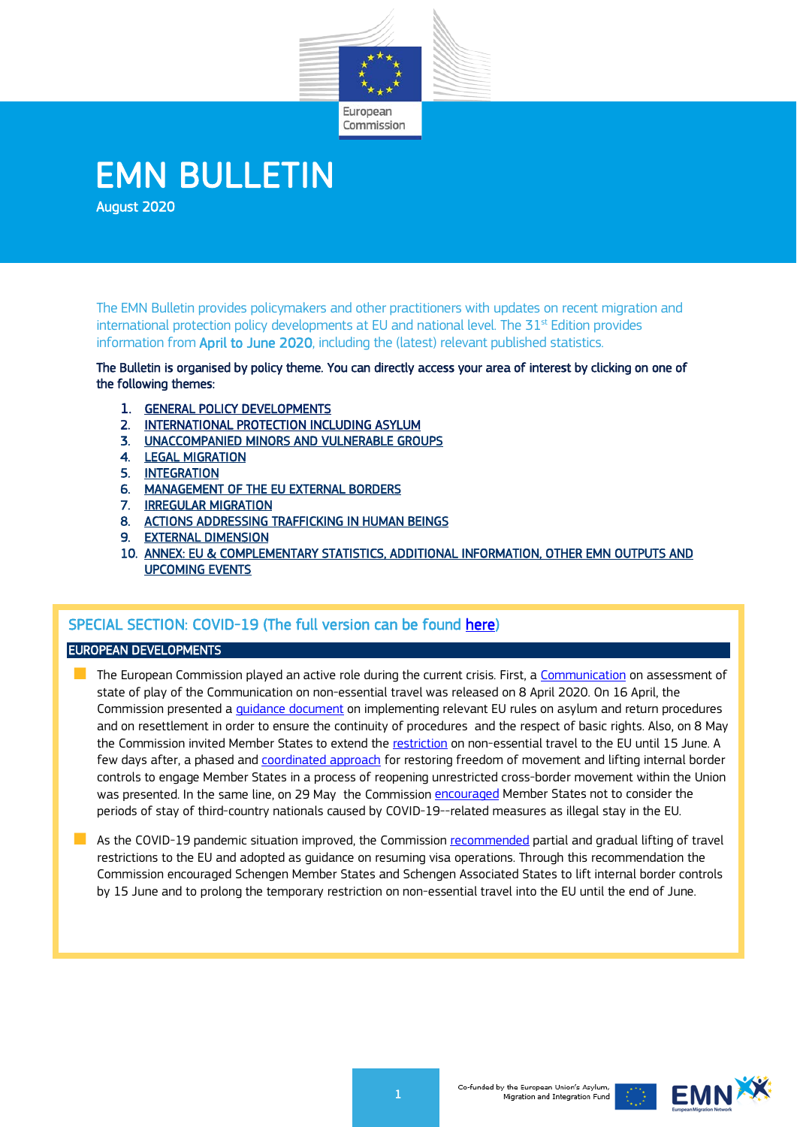

# EMN BULLETIN

The EMN Bulletin provides policymakers and other practitioners with updates on recent migration and international protection policy developments at EU and national level. The  $31<sup>st</sup>$  Edition provides information from April to June 2020, including the (latest) relevant published statistics.

The Bulletin is organised by policy theme. You can directly access your area of interest by clicking on one of the following themes:

- 1. [GENERAL POLICY DEVELOPMENTS](#page-0-0)
- 2. [INTERNATIONAL PROTECTION INCLUDING ASYLUM](#page-3-0)
- 3. [UNACCOMPANIED MINORS AND VULNERABLE GROUPS](#page-4-0)
- 4. [LEGAL MIGRATION](#page-5-0)
- 5. [INTEGRATION](#page-5-1)
- 6. [MANAGEMENT OF THE EU EXTERNAL BORDERS](#page-6-0)
- 7. [IRREGULAR MIGRATION](#page-7-0)
- 8. [ACTIONS ADDRESSING TRAFFICKING IN HUMAN BEINGS](#page-7-1)
- 9. [EXTERNAL DIMENSION](#page-9-0)
- 10. [ANNEX: EU & COMPLEMENTARY STATISTICS, ADDITIONAL INFORMATION, OTHER EMN OUTPUTS AND](#page-9-1)  [UPCOMING EVENTS](#page-9-1)

# SPECIAL SECTION: COVID-19 (The full version can be found [here\)](https://ec.europa.eu/home-affairs/what-we-do/networks/emn-bulletin_en)

## EUROPEAN DEVELOPMENTS

The European Commission played an active role during the current crisis. First, a [Communication](https://ec.europa.eu/home-affairs/news/20200408_covid-19-communication-assessment-state-play-non-essential-travel_en) on assessment of state of play of the Communication on non-essential travel was released on 8 April 2020. On 16 April, the Commission presented a *[guidance](https://ec.europa.eu/home-affairs/news/20200416_coronavirus-commission-presents-guidance-implementing-relevant-eu-rules-asylum-return-procedures-resettlement_en) document* on implementing relevant EU rules on asylum and return procedures and on resettlement in order to ensure the continuity of procedures and the respect of basic rights. Also, on 8 May the Commission invited Member States to extend the [restriction](https://ec.europa.eu/home-affairs/news/20200508_coronavirus-commission-invites-member-states-extend-restriction-non-essential-travel-eu-until-15-june_en) on non-essential travel to the EU until 15 June. A few days after, a phased and *coordinated approach* for restoring freedom of movement and lifting internal border controls to engage Member States in a process of reopening unrestricted cross-border movement within the Union was presented. In the same line, on 29 May the Commission [encouraged](https://ec.europa.eu/home-affairs/news/20200529_commission-encourages-member-states-not-consider-illegal-stay-eu-third-country-nationals-member-state-caused-covid-related-measures_en) Member States not to consider the periods of stay of third-country nationals caused by COVID-19--related measures as illegal stay in the EU.

<span id="page-0-0"></span>As the COVID-19 pandemic situation improved, the Commission [recommended](https://ec.europa.eu/home-affairs/news/20200611_coronavirus-commission-recommends-partial-gradual-lifting-travel-restrictions-eu-adopts-guidance-resuming-visa-operations_en) partial and gradual lifting of travel restrictions to the EU and adopted as guidance on resuming visa operations. Through this recommendation the Commission encouraged Schengen Member States and Schengen Associated States to lift internal border controls by 15 June and to prolong the temporary restriction on non-essential travel into the EU until the end of June.

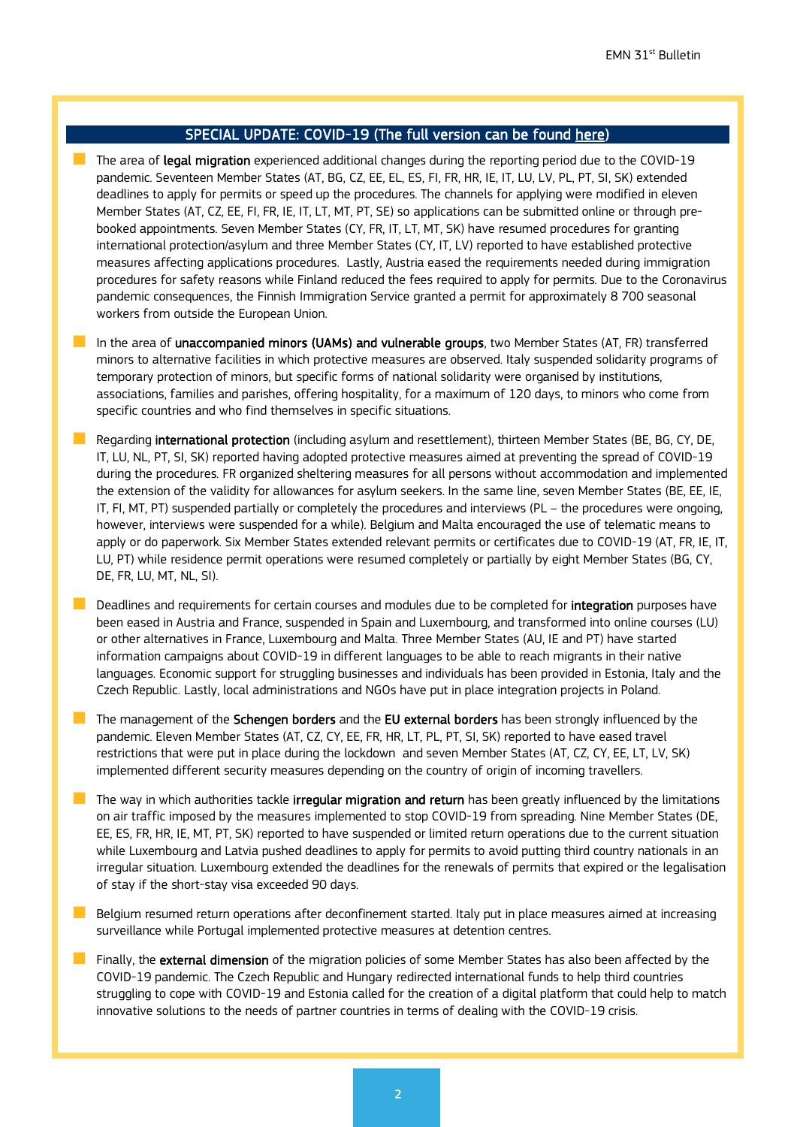# SPECIAL UPDATE: COVID-19 (The full version can be found [here\)](https://ec.europa.eu/home-affairs/what-we-do/networks/emn-bulletin_en)

The area of legal migration experienced additional changes during the reporting period due to the COVID-19 pandemic. Seventeen Member States (AT, BG, CZ, EE, EL, ES, FI, FR, HR, IE, IT, LU, LV, PL, PT, SI, SK) extended deadlines to apply for permits or speed up the procedures. The channels for applying were modified in eleven Member States (AT, CZ, EE, FI, FR, IE, IT, LT, MT, PT, SE) so applications can be submitted online or through prebooked appointments. Seven Member States (CY, FR, IT, LT, MT, SK) have resumed procedures for granting international protection/asylum and three Member States (CY, IT, LV) reported to have established protective measures affecting applications procedures. Lastly, Austria eased the requirements needed during immigration procedures for safety reasons while Finland reduced the fees required to apply for permits. Due to the Coronavirus pandemic consequences, the Finnish Immigration Service granted a permit for approximately 8 700 seasonal workers from outside the European Union.

- In the area of unaccompanied minors (UAMs) and vulnerable groups, two Member States (AT, FR) transferred minors to alternative facilities in which protective measures are observed. Italy suspended solidarity programs of temporary protection of minors, but specific forms of national solidarity were organised by institutions, associations, families and parishes, offering hospitality, for a maximum of 120 days, to minors who come from specific countries and who find themselves in specific situations.
- Regarding international protection (including asylum and resettlement), thirteen Member States (BE, BG, CY, DE, IT, LU, NL, PT, SI, SK) reported having adopted protective measures aimed at preventing the spread of COVID-19 during the procedures. FR organized sheltering measures for all persons without accommodation and implemented the extension of the validity for allowances for asylum seekers. In the same line, seven Member States (BE, EE, IE, IT, FI, MT, PT) suspended partially or completely the procedures and interviews (PL – the procedures were ongoing, however, interviews were suspended for a while). Belgium and Malta encouraged the use of telematic means to apply or do paperwork. Six Member States extended relevant permits or certificates due to COVID-19 (AT, FR, IE, IT, LU, PT) while residence permit operations were resumed completely or partially by eight Member States (BG, CY, DE, FR, LU, MT, NL, SI).
- Deadlines and requirements for certain courses and modules due to be completed for integration purposes have been eased in Austria and France, suspended in Spain and Luxembourg, and transformed into online courses (LU) or other alternatives in France, Luxembourg and Malta. Three Member States (AU, IE and PT) have started information campaigns about COVID-19 in different languages to be able to reach migrants in their native languages. Economic support for struggling businesses and individuals has been provided in Estonia, Italy and the Czech Republic. Lastly, local administrations and NGOs have put in place integration projects in Poland.
- The management of the **Schengen borders** and the **EU external borders** has been strongly influenced by the pandemic. Eleven Member States (AT, CZ, CY, EE, FR, HR, LT, PL, PT, SI, SK) reported to have eased travel restrictions that were put in place during the lockdown and seven Member States (AT, CZ, CY, EE, LT, LV, SK) implemented different security measures depending on the country of origin of incoming travellers.
- The way in which authorities tackle **irregular migration and return** has been greatly influenced by the limitations on air traffic imposed by the measures implemented to stop COVID-19 from spreading. Nine Member States (DE, EE, ES, FR, HR, IE, MT, PT, SK) reported to have suspended or limited return operations due to the current situation while Luxembourg and Latvia pushed deadlines to apply for permits to avoid putting third country nationals in an irregular situation. Luxembourg extended the deadlines for the renewals of permits that expired or the legalisation of stay if the short-stay visa exceeded 90 days.
- Belgium resumed return operations after deconfinement started. Italy put in place measures aimed at increasing surveillance while Portugal implemented protective measures at detention centres.
- **Finally, the external dimension** of the migration policies of some Member States has also been affected by the COVID-19 pandemic. The Czech Republic and Hungary redirected international funds to help third countries struggling to cope with COVID-19 and Estonia called for the creation of a digital platform that could help to match innovative solutions to the needs of partner countries in terms of dealing with the COVID-19 crisis.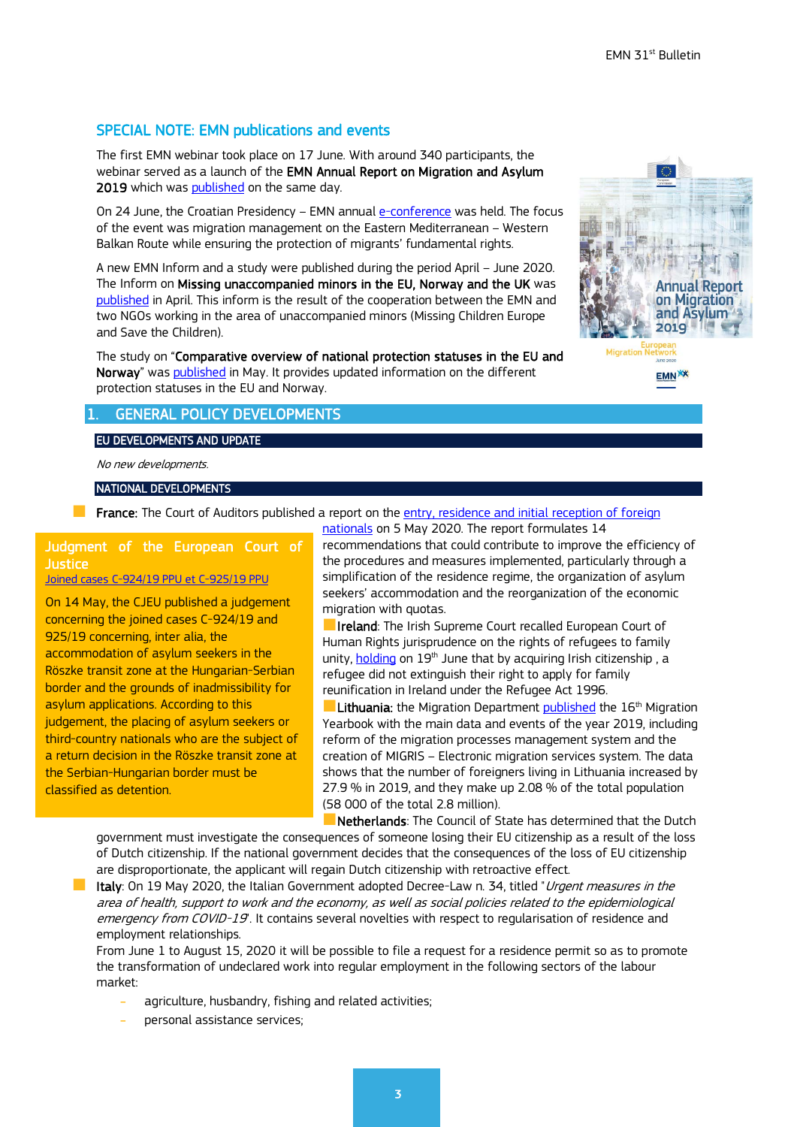## SPECIAL NOTE: EMN publications and events

The first EMN webinar took place on 17 June. With around 340 participants, the webinar served as a launch of the EMN Annual Report on Migration and Asylum 2019 which was [published](https://ec.europa.eu/home-affairs/content/emn-annual-report-migration-and-asylum-2019_en) on the same day.

On 24 June, the Croatian Presidency - EMN annual [e-conference](https://emn.gov.hr/hr-emn-pres-conference/505) was held. The focus of the event was migration management on the Eastern Mediterranean – Western Balkan Route while ensuring the protection of migrants' fundamental rights.

A new EMN Inform and a study were published during the period April – June 2020. The Inform on Missing unaccompanied minors in the EU, Norway and the UK was [published](https://ec.europa.eu/home-affairs/sites/homeaffairs/files/00_eu_inform_uam_2020_en_0.pdf) in April. This inform is the result of the cooperation between the EMN and two NGOs working in the area of unaccompanied minors (Missing Children Europe and Save the Children).

The study on "Comparative overview of national protection statuses in the EU and Norway" wa[s published](https://ec.europa.eu/home-affairs/content/emn-study-comparative-overview-national-protection-statuses-eu-and-norway_en) in May. It provides updated information on the different protection statuses in the EU and Norway.

## **GENERAL POLICY DEVELOPMENTS**

## EU DEVELOPMENTS AND UPDATE

No new developments.

NATIONAL DEVELOPMENTS

**France:** The Court of Auditors published a report on the entry, residence and initial reception of foreign

Judgment of the European Court of **Justice** 

[Joined cases C-924/19 PPU et C-925/19 PPU](http://www.europeanmigrationlaw.eu/en/articles/news/court-of-justice-judgement-fms-and-others-joined-cases-c-92419-ppu-et-c-92519-ppu.html)

On 14 May, the CJEU published a judgement concerning the joined cases C-924/19 and 925/19 concerning, inter alia, the accommodation of asylum seekers in the Röszke transit zone at the Hungarian-Serbian border and the grounds of inadmissibility for asylum applications. According to this judgement, the placing of asylum seekers or third-country nationals who are the subject of a return decision in the Röszke transit zone at the Serbian-Hungarian border must be classified as detention.

[nationals](https://www.ccomptes.fr/fr/publications/lentree-le-sejour-et-le-premier-accueil-des-personnes-etrangeres) on 5 May 2020. The report formulates 14 recommendations that could contribute to improve the efficiency of the procedures and measures implemented, particularly through a simplification of the residence regime, the organization of asylum seekers' accommodation and the reorganization of the economic migration with quotas.

**Ireland**: The Irish Supreme Court recalled European Court of Human Rights jurisprudence on the rights of refugees to family unity, [holding](https://beta.courts.ie/view/judgments/5233d3ad-29b9-4f07-9536-65eb166a1784/651d0b0e-e1a0-440e-b778-bb5d6115b6a4/2020_IESC_32.pdf/pdf) on 19<sup>th</sup> June that by acquiring Irish citizenship, a refugee did not extinguish their right to apply for family reunification in Ireland under the Refugee Act 1996.

Lithuania: the Migration Department [published](https://vrm.lrv.lt/lt/naujienos/migracijos-departamentas-pristato-2019-m-migracijos-metrasti) the 16<sup>th</sup> Migration Yearbook with the main data and events of the year 2019, including reform of the migration processes management system and the creation of MIGRIS – Electronic migration services system. The data shows that the number of foreigners living in Lithuania increased by 27.9 % in 2019, and they make up 2.08 % of the total population (58 000 of the total 2.8 million).

Netherlands: The Council of State has determined that the Dutch government must investigate the consequences of someone losing their EU citizenship as a result of the loss of Dutch citizenship. If the national government decides that the consequences of the loss of EU citizenship are disproportionate, the applicant will regain Dutch citizenship with retroactive effect.

**If Italy**: On 19 May 2020, the Italian Government adopted Decree-Law n. 34, titled "*Urgent measures in the* area of health, support to work and the economy, as well as social policies related to the epidemiological emergency from COVID-19'. It contains several novelties with respect to regularisation of residence and employment relationships.

From June 1 to August 15, 2020 it will be possible to file a request for a residence permit so as to promote the transformation of undeclared work into regular employment in the following sectors of the labour market:

- agriculture, husbandry, fishing and related activities;
- ˗ personal assistance services;

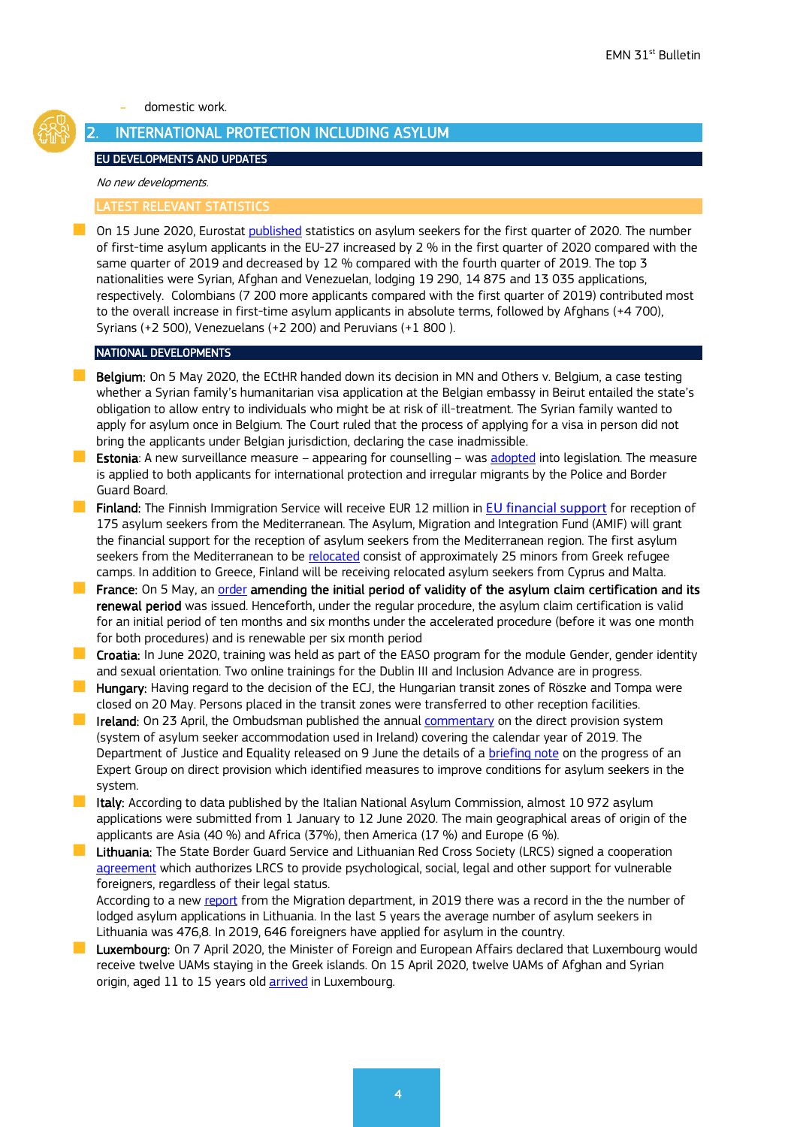˗ domestic work.

# <span id="page-3-0"></span>2. INTERNATIONAL PROTECTION INCLUDING ASYLUM

#### EU DEVELOPMENTS AND UPDATES

#### No new developments.

#### LATEST RELEVANT STATISTICS

On 15 June 2020, Eurostat [published](https://ec.europa.eu/eurostat/statistics-explained/index.php/Asylum_quarterly_report) statistics on asylum seekers for the first quarter of 2020. The number of first-time asylum applicants in the EU-27 increased by 2 % in the first quarter of 2020 compared with the same quarter of 2019 and decreased by 12 % compared with the fourth quarter of 2019. The top 3 nationalities were Syrian, Afghan and Venezuelan, lodging 19 290, 14 875 and 13 035 applications, respectively. Colombians (7 200 more applicants compared with the first quarter of 2019) contributed most to the overall increase in first-time asylum applicants in absolute terms, followed by Afghans (+4 700), Syrians (+2 500), Venezuelans (+2 200) and Peruvians (+1 800 ).

#### NATIONAL DEVELOPMENTS

- **Belgium:** On 5 May 2020, the ECtHR handed down its decision in [MN and Others v. Belgium,](https://hudoc.echr.coe.int/eng#%7B%22itemid%22:%5B%22001-202468%22%5D%7D) a case testing whether a Syrian family's humanitarian visa application at the Belgian embassy in Beirut entailed the state's obligation to allow entry to individuals who might be at risk of ill-treatment. The Syrian family wanted to apply for asylum once in Belgium. The Court ruled that the process of applying for a visa in person did not bring the applicants under Belgian jurisdiction, declaring the case inadmissible.
- **Estonia**: A new surveillance measure appearing for counselling was [adopted](https://www.riigiteataja.ee/en/eli/530062020004/consolide) into legislation. The measure is applied to both applicants for international protection and irregular migrants by the Police and Border Guard Board.
- **Finland:** The Finnish Immigration Service will receive EUR 12 million in [EU financial support](https://intermin.fi/en/-/finnish-immigration-service-to-receive-eur-12-million-in-eu-financial-support-for-reception-of-175-asylum-seekers-from-the-mediterranean) for reception of 175 asylum seekers from the Mediterranean. The Asylum, Migration and Integration Fund (AMIF) will grant the financial support for the reception of asylum seekers from the Mediterranean region. The first asylum seekers from the Mediterranean to be [relocated](https://migri.fi/en/-/first-asylum-seekers-from-the-mediterranean-to-be-relocated-to-finland-in-july) consist of approximately 25 minors from Greek refugee camps. In addition to Greece, Finland will be receiving relocated asylum seekers from Cyprus and Malta.
- **France:** On 5 May, an [order](https://www.legifrance.gouv.fr/affichTexte.do?cidTexte=JORFTEXT000041865597&categorieLien=id) amending the initial period of validity of the asylum claim certification and its renewal period was issued. Henceforth, under the regular procedure, the asylum claim certification is valid for an initial period of ten months and six months under the accelerated procedure (before it was one month for both procedures) and is renewable per six month period
- **Croatia:** In June 2020, training was held as part of the EASO program for the module Gender, gender identity and sexual orientation. Two online trainings for the Dublin III and Inclusion Advance are in progress.
- **Hungary:** Having regard to the decision of the ECJ, the Hungarian transit zones of Röszke and Tompa were closed on 20 May. Persons placed in the transit zones were transferred to other reception facilities.
- **IFFICH AND IN A** Ireland: On 23 April, the Ombudsman published the annual [commentary](https://www.ombudsman.ie/publications/reports/the-ombudsman-direct-prov-1/) on the direct provision system (system of asylum seeker accommodation used in Ireland) covering the calendar year of 2019. The Department of Justice and Equality released on 9 June the details of a [briefing note](https://www.gov.ie/en/press-release/cce37-statement-by-ministers-flanagan-and-stanton-regarding-the-direct-provision-system/) on the progress of an Expert Group on direct provision which identified measures to improve conditions for asylum seekers in the system.
- **If Italy:** According to data published by the Italian National Asylum Commission, almost 10 972 asylum applications were submitted from 1 January to 12 June 2020. The main geographical areas of origin of the applicants are Asia (40 %) and Africa (37%), then America (17 %) and Europe (6 %).
- **Lithuania:** The State Border Guard Service and Lithuanian Red Cross Society (LRCS) signed a cooperation [agreement](http://www.pasienis.lt/lit/Vsat-ir-raudonojo-kryziaus-draugija-pasirase-bendradarbiavimo-susitarima-foto) which authorizes LRCS to provide psychological, social, legal and other support for vulnerable foreigners, regardless of their legal status.

According to a new [report](https://migracija.lrv.lt/uploads/migracija/documents/files/Migracijos%20metra%C5%A1%C4%8Diai/MIGRACIJOS%20METRA%C5%A0TIS_2019%20(1).pdf) from the Migration department, in 2019 there was a record in the the number of lodged asylum applications in Lithuania. In the last 5 years the average number of asylum seekers in Lithuania was 476,8. In 2019, 646 foreigners have applied for asylum in the country.

 Luxembourg: On 7 April 2020, the Minister of Foreign and European Affairs declared that Luxembourg would receive twelve UAMs staying in the Greek islands. On 15 April 2020, twelve UAMs of Afghan and Syrian origin, aged 11 to 15 years old [arrived](https://gouvernement.lu/fr/actualites/toutes_actualites/communiques/2020/04-avril/15-arrivee-mineurs-relocalisation.html#:%7E:text=En%20date%20du%2015%20avril,de%20Lesbos%2C%20Samos%20et%20Chios.) in Luxembourg.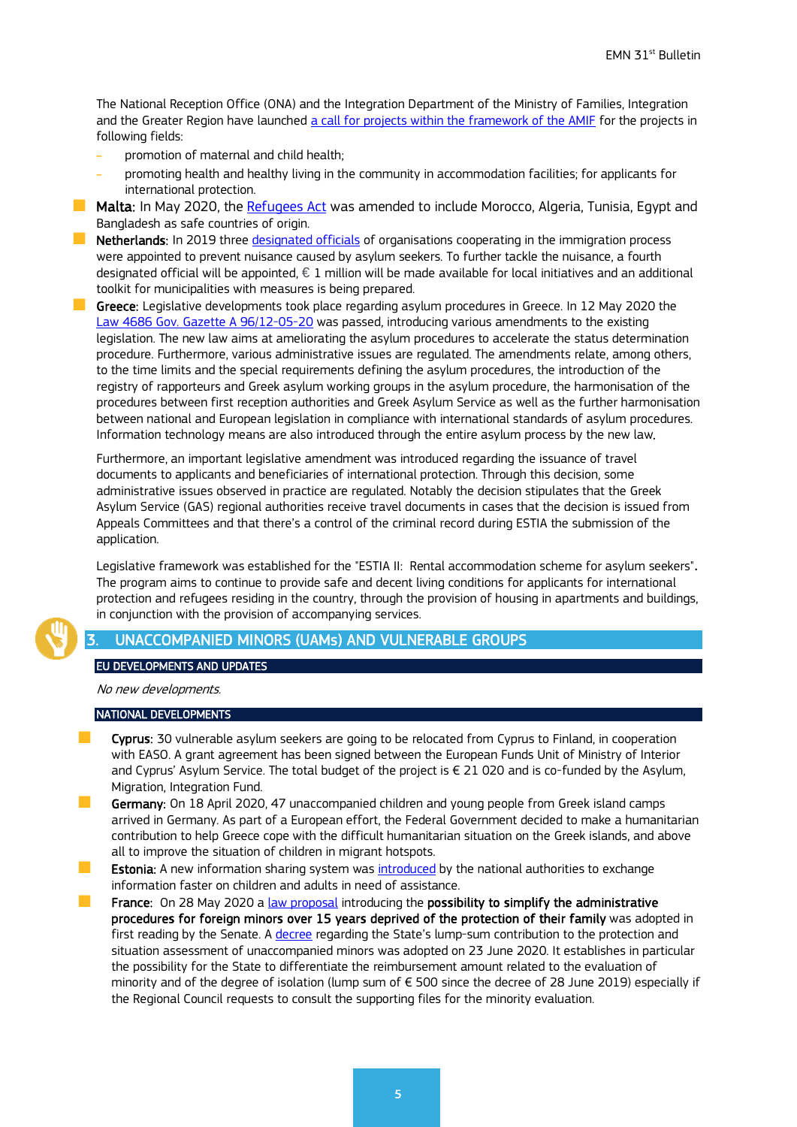The National Reception Office (ONA) and the Integration Department of the Ministry of Families, Integration and the Greater Region have launched a call for projects [within the framework of the AMIF](https://ona.gouvernement.lu/en/coordination-et-cooperation/fonds-amif/AMIF-appel-a-projets-2020.html) for the projects in following fields:

- promotion of maternal and child health;
- ˗ promoting health and healthy living in the community in accommodation facilities; for applicants for international protection.
- **Malta:** In May 2020, the [Refugees Act](http://www.justiceservices.gov.mt/DownloadDocument.aspx?app=lp&itemid=30152&l=1) was amended to include Morocco, Algeria, Tunisia, Egypt and Bangladesh as safe countries of origin.
- **Netherlands:** In 2019 three [designated officials](https://www.rijksoverheid.nl/actueel/nieuws/2020/05/13/vorig-jaar-meer-diefstal-en-overtreding-huisregels-door-asielzoekers) of organisations cooperating in the immigration process were appointed to prevent nuisance caused by asylum seekers. To further tackle the nuisance, a fourth designated official will be appointed,  $\in$  1 million will be made available for local initiatives and an additional toolkit for municipalities with measures is being prepared.

Greece: Legislative developments took place regarding asylum procedures in Greece. In 12 May 2020 the [Law 4686 Gov. Gazette A 96/12-05-20](http://asylo.gov.gr/wp-content/uploads/2020/05/%CE%9D-4686-2020.pdf) was passed, introducing various amendments to the existing legislation. The new law aims at ameliorating the asylum procedures to accelerate the status determination procedure. Furthermore, various administrative issues are regulated. The amendments relate, among others, to the time limits and the special requirements defining the asylum procedures, the introduction of the registry of rapporteurs and Greek asylum working groups in the asylum procedure, the harmonisation of the procedures between first reception authorities and Greek Asylum Service as well as the further harmonisation between national and European legislation in compliance with international standards of asylum procedures. Information technology means are also introduced through the entire asylum process by the new law.

Furthermore, an important legislative amendment was introduced regarding the issuance of travel documents to applicants and beneficiaries of international protection. Through this decision, some administrative issues observed in practice are regulated. Notably the decision stipulates that the Greek Asylum Service (GAS) regional authorities receive travel documents in cases that the decision is issued from Appeals Committees and that there's a control of the criminal record during ESTIA the submission of the application.

Legislative framework was established for the "ESTIA II: Rental accommodation scheme for asylum seekers". The program aims to continue to provide safe and decent living conditions for applicants for international protection and refugees residing in the country, through the provision of housing in apartments and buildings, in conjunction with the provision of accompanying services.

# <span id="page-4-0"></span>UNACCOMPANIED MINORS (UAMs) AND VULNERABLE GROUPS

### EU DEVELOPMENTS AND UPDATES

## No new developments.

#### NATIONAL DEVELOPMENTS

- Cyprus: 30 vulnerable asylum seekers are going to be relocated from Cyprus to Finland, in cooperation with EASO. A grant agreement has been signed between the European Funds Unit of Ministry of Interior and Cyprus' Asylum Service. The total budget of the project is € 21 020 and is co-funded by the Asylum, Migration, Integration Fund.
- Germany: On 18 April 2020, 47 unaccompanied children and young people from Greek island camps arrived in Germany. As part of a European effort, the Federal Government decided to make a humanitarian contribution to help Greece cope with the difficult humanitarian situation on the Greek islands, and above all to improve the situation of children in migrant hotspots.
- **Extonia:** A new information sharing system was *[introduced](https://www.sotsiaalkindlustusamet.ee/et/uudised/asutuste-vahel-muutub-infovahetus-abivajavate-laste-ja-taiskasvanute-kohta-kiiremaks)* by the national authorities to exchange information faster on children and adults in need of assistance.
- **France:** On 28 May 2020 a [law proposal](http://www.assemblee-nationale.fr/dyn/15/textes/l15b3023_proposition-loi) introducing the possibility to simplify the administrative procedures for foreign minors over 15 years deprived of the protection of their family was adopted in first reading by the Senate. A [decree](https://www.legifrance.gouv.fr/eli/decret/2020/6/23/SSAA2003353D/jo/texte/fr) regarding the State's lump-sum contribution to the protection and situation assessment of unaccompanied minors was adopted on 23 June 2020. It establishes in particular the possibility for the State to differentiate the reimbursement amount related to the evaluation of minority and of the degree of isolation (lump sum of € 500 since the decree of 28 June 2019) especially if the Regional Council requests to consult the supporting files for the minority evaluation.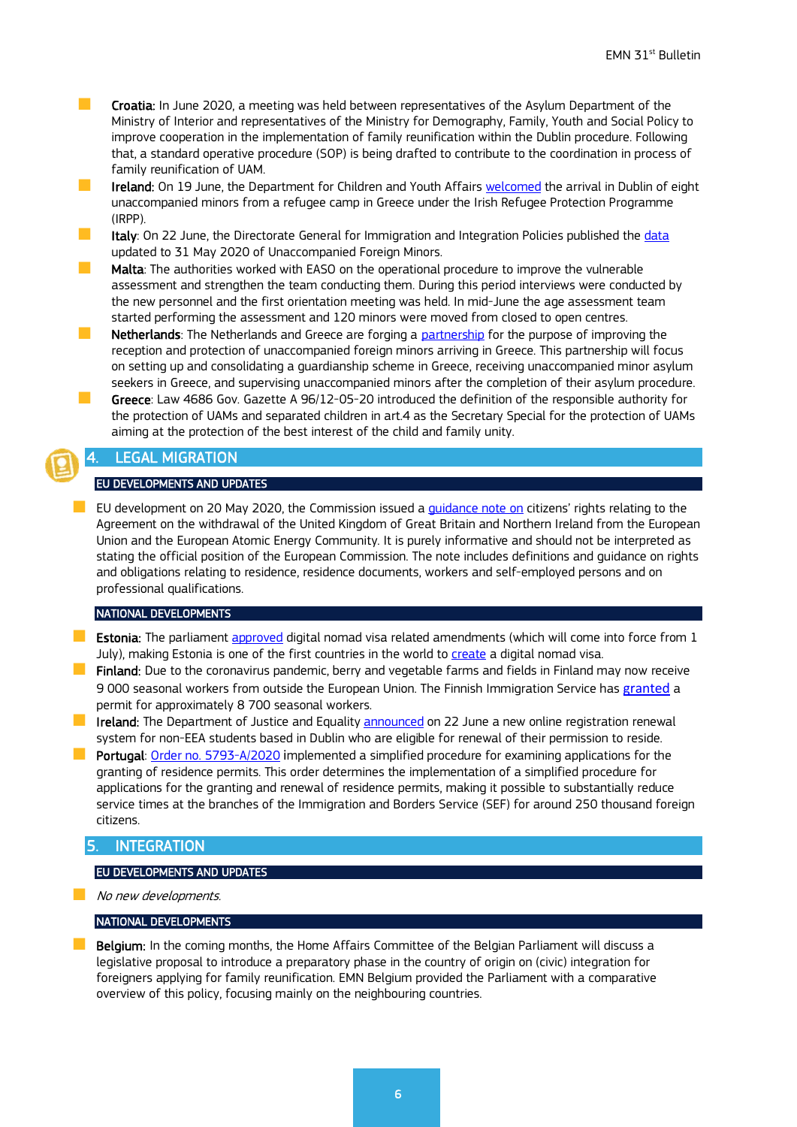- **Croatia:** In June 2020, a meeting was held between representatives of the Asylum Department of the Ministry of Interior and representatives of the Ministry for Demography, Family, Youth and Social Policy to improve cooperation in the implementation of family reunification within the Dublin procedure. Following that, a standard operative procedure (SOP) is being drafted to contribute to the coordination in process of family reunification of UAM.
- Ireland: On 19 June, the Department for Children and Youth Affairs [welcomed](https://www.gov.ie/en/press-release/ffa11-minister-welcomes-the-arrival-of-8-young-people-from-greece/) the arrival in Dublin of eight unaccompanied minors from a refugee camp in Greece under the Irish Refugee Protection Programme (IRPP).
- **If a** Italy: On 22 June, the Directorate General for Immigration and Integration Policies published the [data](https://www.lavoro.gov.it/temi-e-priorita/immigrazione/focus-on/minori-stranieri/Documents/Report-MSNA-mese-maggio-2020.pdf) updated to 31 May 2020 of Unaccompanied Foreign Minors.
- **Malta:** The authorities worked with EASO on the operational procedure to improve the vulnerable assessment and strengthen the team conducting them. During this period interviews were conducted by the new personnel and the first orientation meeting was held. In mid-June the age assessment team started performing the assessment and 120 minors were moved from closed to open centres.
- **Netherlands**: The Netherlands and Greece are forging a [partnership](https://www.rijksoverheid.nl/actueel/nieuws/2020/06/18/samenwerking-met-griekenland-voor-opvang-en-voogdij-formeel-bezegeld) for the purpose of improving the reception and protection of unaccompanied foreign minors arriving in Greece. This partnership will focus on setting up and consolidating a guardianship scheme in Greece, receiving unaccompanied minor asylum seekers in Greece, and supervising unaccompanied minors after the completion of their asylum procedure.
- Greece: Law 4686 Gov. Gazette A 96/12-05-20 introduced the definition of the responsible authority for the protection of UAMs and separated children in art.4 as the Secretary Special for the protection of UAMs aiming at the protection of the best interest of the child and family unity.

# <span id="page-5-0"></span>**LEGAL MIGRATION**

## EU DEVELOPMENTS AND UPDATES

EU development on 20 May 2020, the Commission issued a quidance note on citizens' rights relating to the Agreement on the withdrawal of the United Kingdom of Great Britain and Northern Ireland from the European Union and the European Atomic Energy Community. It is purely informative and should not be interpreted as stating the official position of the European Commission. The note includes definitions and guidance on rights and obligations relating to residence, residence documents, workers and self-employed persons and on professional qualifications.

#### NATIONAL DEVELOPMENTS

- **Estonia:** The parliament [approved](https://www.siseministeerium.ee/en/news/estonia-be-one-first-countries-world-create-digital-nomad-visa) digital nomad visa related amendments (which will come into force from 1 July), making Estonia is one of the first countries in the world to [create](https://www.riigikogu.ee/tegevus/eelnoud/eelnou/69678ce3-fca3-4163-8a9d-54a71e0fdcbb/V%C3%A4lismaalaste%20seaduse%20muutmise%20seadus) a digital nomad visa.
- **Finland:** Due to the coronavirus pandemic, berry and vegetable farms and fields in Finland may now receive 9 000 seasonal workers from outside the European Union. The Finnish Immigration Service has [granted](https://migri.fi/en/-/kausityohakemusten-kasittely-on-edennyt-pitkalle) a permit for approximately 8 700 seasonal workers.
- **IF Ireland:** The Department of Justice and Equality [announced](http://www.justice.ie/en/JELR/Pages/PR20000118) on 22 June a new online registration renewal system for non-EEA students based in Dublin who are eligible for renewal of their permission to reside.
- **Portugal:** [Order no. 5793-A/2020](https://dre.pt/application/conteudo/134516291) implemented a simplified procedure for examining applications for the granting of residence permits. This order determines the implementation of a simplified procedure for applications for the granting and renewal of residence permits, making it possible to substantially reduce service times at the branches of the Immigration and Borders Service (SEF) for around 250 thousand foreign citizens.

# <span id="page-5-1"></span>**INTEGRATION**

## EU DEVELOPMENTS AND UPDATES

No new developments.

### NATIONAL DEVELOPMENTS

**Belgium:** In the coming months, the Home Affairs Committee of the Belgian Parliament will discuss a [legislative proposal](https://www.dekamer.be/FLWB/PDF/55/0877/55K0877001.pdf) to introduce a preparatory phase in the country of origin on (civic) integration for foreigners applying for family reunification. EMN Belgium provided the Parliament with a comparative overview of this policy, focusing mainly on the neighbouring countries.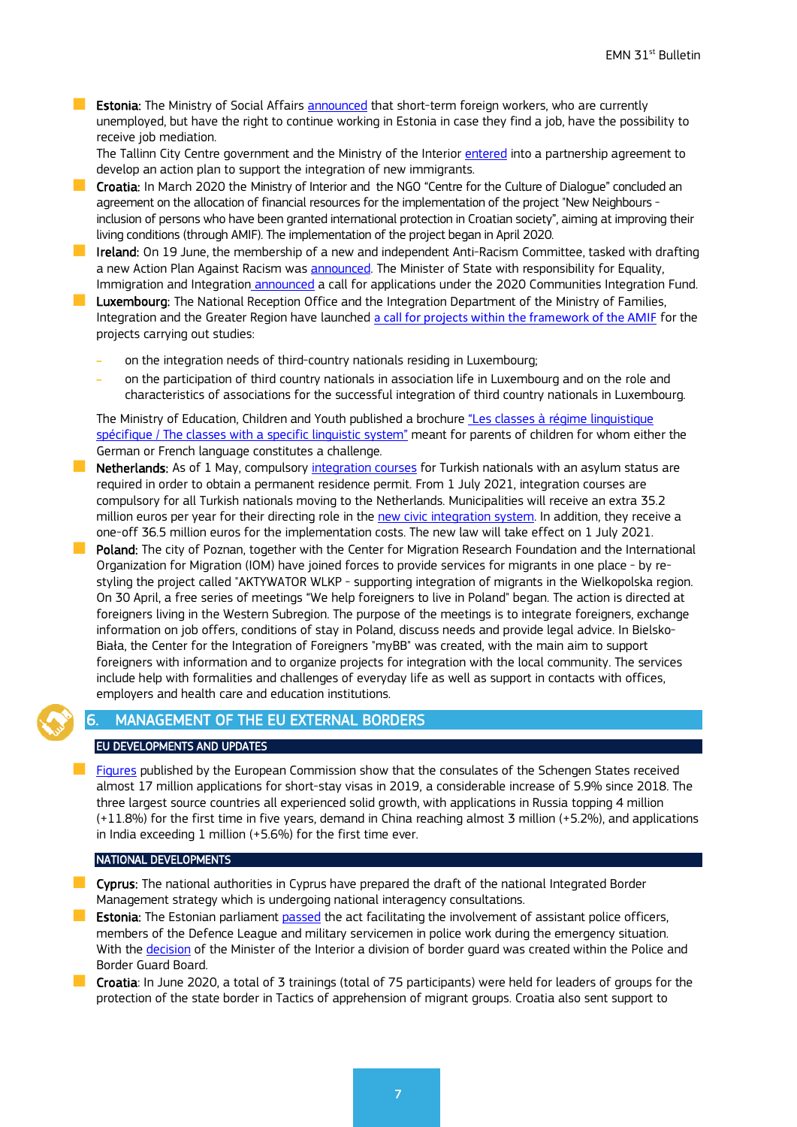**Estonia:** The Ministry of Social Affair[s announced](https://www.sm.ee/en/news/provision-job-mediation-helps-reduce-seasonal-labour-shortages) that short-term foreign workers, who are currently unemployed, but have the right to continue working in Estonia in case they find a job, have the possibility to receive job mediation.

The Tallinn City Centre government and the Ministry of the Interior [entered](https://www.siseministeerium.ee/en/news/tallinn-city-centre-district-will-start-supporting-integration-new-immigrants-more) into a partnership agreement to develop an action plan to support the integration of new immigrants.

**Croatia:** In March 2020 the Ministry of Interior and the NGO "Centre for the Culture of Dialogue" concluded an agreement on the allocation of financial resources for the implementation of the project "New Neighbours inclusion of persons who have been granted international protection in Croatian society", aiming at improving their living conditions (through AMIF). The implementation of the project began in April 2020.

**I** Ireland: On 19 June, the membership of a new and independent Anti-Racism Committee, tasked with drafting a new Action Plan Against Racism was [announced.](http://www.justice.ie/en/JELR/Pages/PR20000115) The Minister of State with responsibility for Equality, Immigration and Integration [announced](http://www.justice.ie/en/JELR/Pages/PR20000114) a call for applications under the 2020 Communities Integration Fund.

**Luxembourg:** The National Reception Office and the Integration Department of the Ministry of Families, Integration and the Greater Region have launched a call for projects [within the framework of the AMIF](https://ona.gouvernement.lu/en/coordination-et-cooperation/fonds-amif/AMIF-appel-a-projets-2020.html) for the projects carrying out studies:

- on the integration needs of third-country nationals residing in Luxembourg;
- ˗ on the participation of third country nationals in association life in Luxembourg and on the role and characteristics of associations for the successful integration of third country nationals in Luxembourg.

The Ministry of Education, Children and Youth published a brochure ["Les classes à régime linguistique](http://www.men.public.lu/catalogue-publications/themes-transversaux/scolarisation-eleves-etrangers/brochures-parents/rls/fr.pdf)  [spécifique / The classes with a specific linguistic system"](http://www.men.public.lu/catalogue-publications/themes-transversaux/scolarisation-eleves-etrangers/brochures-parents/rls/fr.pdf) meant for parents of children for whom either the German or French language constitutes a challenge.

- Netherlands: As of 1 May, compulsory [integration courses](https://www.rijksoverheid.nl/documenten/kamerstukken/2020/04/09/tk-voortgang-taskforce-onderzoek-significant-maatregelen-en-aanbevelingen-en-tijdpad) for Turkish nationals with an asylum status are required in order to obtain a permanent residence permit. From 1 July 2021, integration courses are compulsory for all Turkish nationals moving to the Netherlands. Municipalities will receive an extra 35.2 million euros per year for their directing role in the [new civic integration system.](https://www.rijksoverheid.nl/documenten/publicaties/2020/04/28/voi-betuurlijke-aspraken) In addition, they receive a one-off 36.5 million euros for the implementation costs. The new law will take effect on 1 July 2021.
- Poland: The city of Poznan, together with the Center for Migration Research Foundation and the International Organization for Migration (IOM) have joined forces to provide services for migrants in one place - by restyling the project called "AKTYWATOR WLKP - supporting integration of migrants in the Wielkopolska region. On 30 April, a free series of meetings "We help foreigners to live in Poland" began. The action is directed at foreigners living in the Western Subregion. The purpose of the meetings is to integrate foreigners, exchange information on job offers, conditions of stay in Poland, discuss needs and provide legal advice. In Bielsko-Biała, the Center for the Integration of Foreigners "myBB" was created, with the main aim to support foreigners with information and to organize projects for integration with the local community. The services include help with formalities and challenges of everyday life as well as support in contacts with offices, employers and health care and education institutions.

# <span id="page-6-0"></span>6. MANAGEMENT OF THE EU EXTERNAL BORDERS

## EU DEVELOPMENTS AND UPDATES

 [Figures](https://ec.europa.eu/home-affairs/news/20200504_visa-statistics-schengen-states-issue-15-million-visas-for-short-stays-in-2019_en) published by the European Commission show that the consulates of the Schengen States received almost 17 million applications for short-stay visas in 2019, a considerable increase of 5.9% since 2018. The three largest source countries all experienced solid growth, with applications in Russia topping 4 million (+11.8%) for the first time in five years, demand in China reaching almost 3 million (+5.2%), and applications in India exceeding 1 million (+5.6%) for the first time ever.

## NATIONAL DEVELOPMENTS

- **Cyprus:** The national authorities in Cyprus have prepared the draft of the national Integrated Border Management strategy which is undergoing national interagency consultations.
- **Estonia:** The Estonian parliament [passed](https://www.siseministeerium.ee/en/news/flexibility-involving-assistant-police-officers-members-defence-league-and-military-servicemen) the act facilitating the involvement of assistant police officers, members of the Defence League and military servicemen in police work during the emergency situation. With the [decision](https://www.siseministeerium.ee/et/uudised/siseminister-mart-helme-ppa-pohimaaruse-muutmisega-astusime-esimese-sammu-eraldiseisva) of the Minister of the Interior a division of border guard was created within the Police and Border Guard Board.
- Croatia: In June 2020, a total of 3 trainings (total of 75 participants) were held for leaders of groups for the protection of the state border in Tactics of apprehension of migrant groups. Croatia also sent support to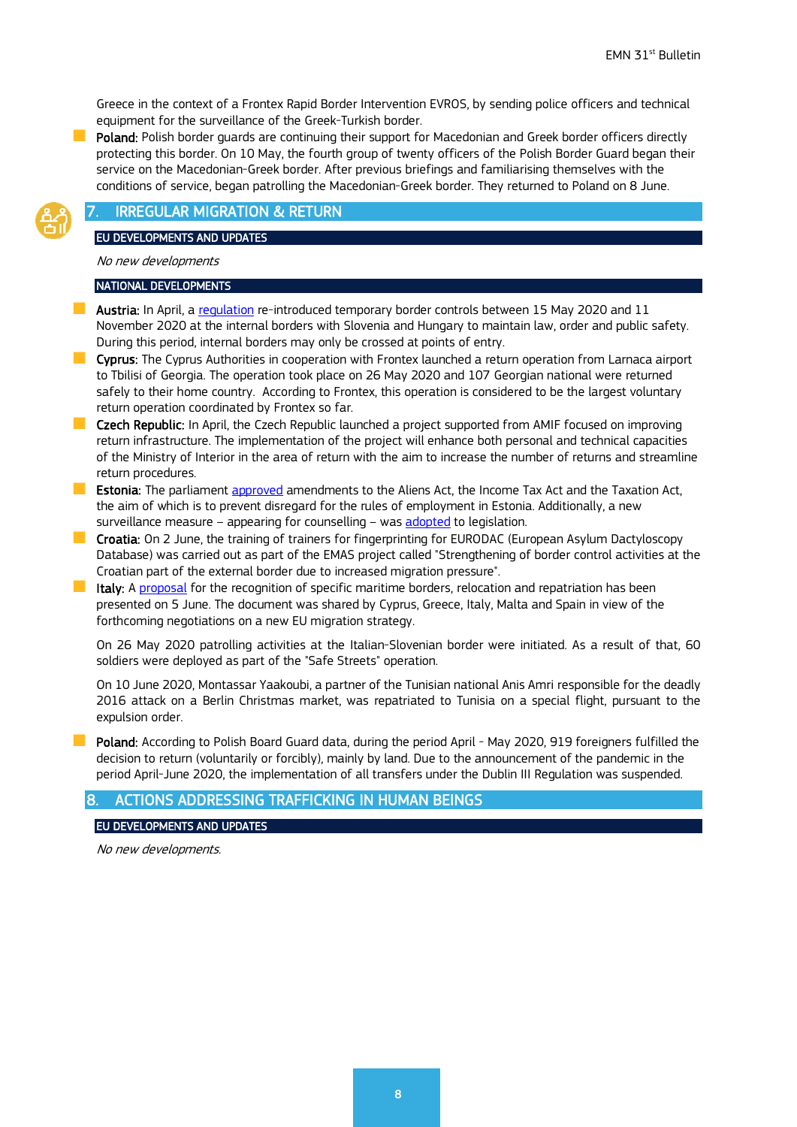Greece in the context of a Frontex Rapid Border Intervention EVROS, by sending police officers and technical equipment for the surveillance of the Greek-Turkish border.

Poland: Polish border guards are continuing their support for Macedonian and Greek border officers directly protecting this border. On 10 May, the fourth group of twenty officers of the Polish Border Guard began their service on the Macedonian-Greek border. After previous briefings and familiarising themselves with the conditions of service, began patrolling the Macedonian-Greek border. They returned to Poland on 8 June.

# <span id="page-7-0"></span>**IRREGULAR MIGRATION & RETURN**

#### EU DEVELOPMENTS AND UPDATES

No new developments

#### NATIONAL DEVELOPMENTS

- **Austria:** In April, a [regulation](https://www.ris.bka.gv.at/Dokumente/BgblAuth/BGBLA_2020_II_177/BGBLA_2020_II_177.html) re-introduced temporary border controls between 15 May 2020 and 11 November 2020 at the internal borders with Slovenia and Hungary to maintain law, order and public safety. During this period, internal borders may only be crossed at points of entry.
- **Cyprus:** The Cyprus Authorities in cooperation with Frontex launched a return operation from Larnaca airport to Tbilisi of Georgia. The operation took place on 26 May 2020 and 107 Georgian national were returned safely to their home country. According to Frontex, this operation is considered to be the largest voluntary return operation coordinated by Frontex so far.
- **Czech Republic:** In April, the Czech Republic launched a project supported from AMIF focused on improving return infrastructure. The implementation of the project will enhance both personal and technical capacities of the Ministry of Interior in the area of return with the aim to increase the number of returns and streamline return procedures.
- **Estonia:** The parliament [approved](https://www.siseministeerium.ee/en/news/adopted-amendments-law-prevent-disregard-rules-employment-estonia) amendments to the Aliens Act, the Income Tax Act and the Taxation Act, the aim of which is to prevent disregard for the rules of employment in Estonia. Additionally, a new surveillance measure – appearing for counselling – was [adopted](https://www.riigiteataja.ee/en/eli/530062020004/consolide) to legislation.
- **Croatia:** On 2 June, the training of trainers for fingerprinting for EURODAC (European Asylum Dactyloscopy Database) was carried out as part of the EMAS project called "Strengthening of border control activities at the Croatian part of the external border due to increased migration pressure".
- **If taly:** A [proposal](https://www.interno.gov.it/sites/default/files/allegati/documento_immigrazione_cipro_italia_grecia_malta_spagna.pdf) for the recognition of specific maritime borders, relocation and repatriation has been presented on 5 June. The document was shared by Cyprus, Greece, Italy, Malta and Spain in view of the forthcoming negotiations on a new EU migration strategy.

On 26 May 2020 patrolling activities at the Italian-Slovenian border were initiated. As a result of that, 60 soldiers were deployed as part of the "Safe Streets" operation.

On 10 June 2020, Montassar Yaakoubi, a partner of the Tunisian national Anis Amri responsible for the deadly 2016 attack on a Berlin Christmas market, was repatriated to Tunisia on a special flight, pursuant to the expulsion order.

**Poland:** According to Polish Board Guard data, during the period April - May 2020, 919 foreigners fulfilled the decision to return (voluntarily or forcibly), mainly by land. Due to the announcement of the pandemic in the period April-June 2020, the implementation of all transfers under the Dublin III Regulation was suspended.

## <span id="page-7-1"></span>8. ACTIONS ADDRESSING TRAFFICKING IN HUMAN BEINGS

### EU DEVELOPMENTS AND UPDATES

No new developments.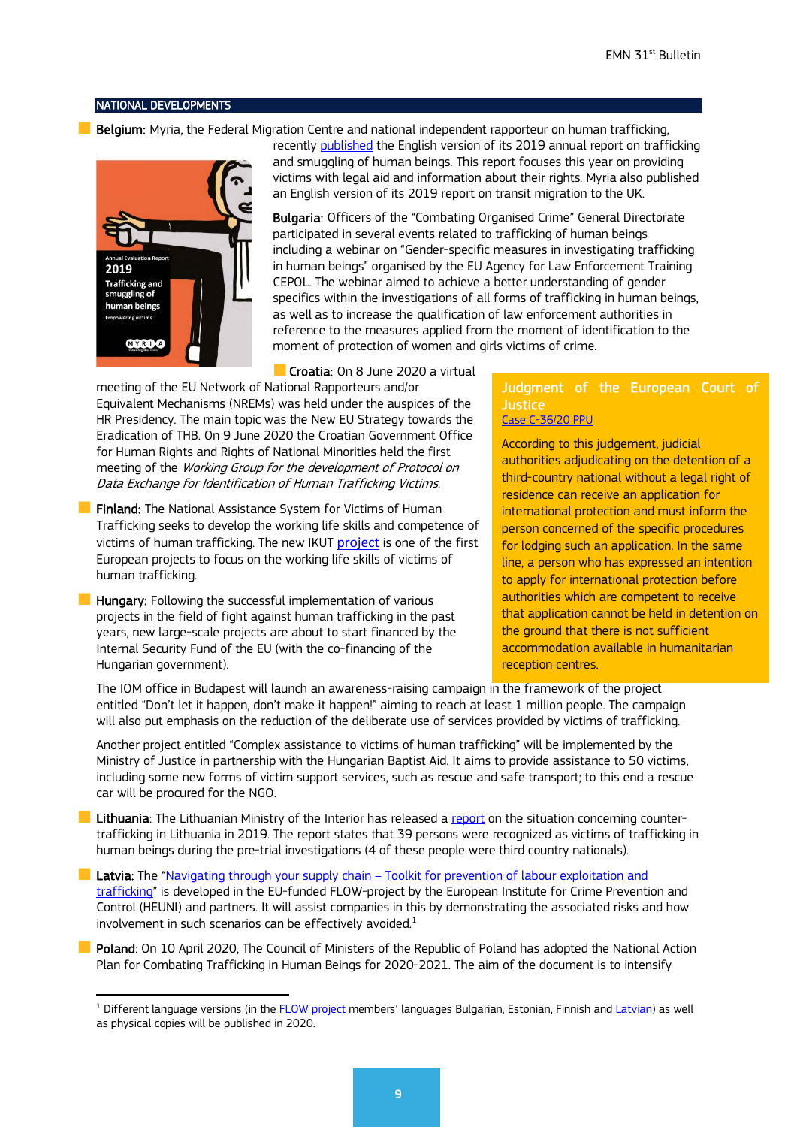#### NATIONAL DEVELOPMENTS

**Belgium:** Myria, the Federal Migration Centre and national independent rapporteur on human trafficking.



recently [published](https://www.myria.be/en/publications/2019-annual-report-trafficking-and-smuggling-of-human-beings) the [English](https://www.myria.be/en/publications/2019-annual-report-trafficking-and-smuggling-of-human-beings) version of its 2019 annual report on trafficking and smuggling of human beings. This report focuses this year on providing victims with legal aid and information about their rights. Myria also published an [English](https://www.myria.be/en/publications/myriadoc-10-belgium-on-the-road-to-the-united-kingdom) version of its 2019 report on transit migration to the UK.

Bulgaria: Officers of the "Combating Organised Crime" General Directorate participated in several events related to trafficking of human beings including a webinar on "Gender-specific measures in investigating trafficking in human beings" organised by the EU Agency for Law Enforcement Training CEPOL. The webinar aimed to achieve a better understanding of gender specifics within the investigations of all forms of trafficking in human beings, as well as to increase the qualification of law enforcement authorities in reference to the measures applied from the moment of identification to the moment of protection of women and girls victims of crime.

Croatia: On 8 June 2020 a virtual

meeting of the EU Network of National Rapporteurs and/or Equivalent Mechanisms (NREMs) was held under the auspices of the HR Presidency. The main topic was the New EU Strategy towards the Eradication of THB. On 9 June 2020 the Croatian Government Office for Human Rights and Rights of National Minorities held the first meeting of the Working Group for the development of Protocol on Data Exchange for Identification of Human Trafficking Victims.

**Finland:** The National Assistance System for Victims of Human Trafficking seeks to develop the working life skills and competence of victims of human trafficking. The new IKUT [project](https://icfonline-my.sharepoint.com/personal/n108862_icf_com/Documents/Documents/Documents/EMN%20associate%202020/%EF%83%AA%09https:/migri.fi/en/-/ainutlaatuinen-hanke-kehittaa-ihmiskaupan-uhrien-tyoelamaosaamista) is one of the first European projects to focus on the working life skills of victims of human trafficking.

 $\blacksquare$  Hungary: Following the successful implementation of various projects in the field of fight against human trafficking in the past years, new large-scale projects are about to start financed by the Internal Security Fund of the EU (with the co-financing of the Hungarian government).

# Judgment of the European Court of Justice

[Case C-36/20 PPU](http://www.europeanmigrationlaw.eu/en/articles/news/court-of-justice-judgment-detention-of-asylum-seekers-ministerio-fiscal-case-c-3620-ppu.html)

According to this judgement, judicial authorities adjudicating on the detention of a third-country national without a legal right of residence can receive an application for international protection and must inform the person concerned of the specific procedures for lodging such an application. In the same line, a person who has expressed an intention to apply for international protection before authorities which are competent to receive that application cannot be held in detention on the ground that there is not sufficient accommodation available in humanitarian reception centres.

The IOM office in Budapest will launch an awareness-raising campaign in the framework of the project entitled "Don't let it happen, don't make it happen!" aiming to reach at least 1 million people. The campaign will also put emphasis on the reduction of the deliberate use of services provided by victims of trafficking.

Another project entitled "Complex assistance to victims of human trafficking" will be implemented by the Ministry of Justice in partnership with the Hungarian Baptist Aid. It aims to provide assistance to 50 victims, including some new forms of victim support services, such as rescue and safe transport; to this end a rescue car will be procured for the NGO.

**Lithuania**: The Lithuanian Ministry of the Interior has released a [report](https://vrm.lrv.lt/uploads/vrm/documents/files/LT_versija/Viesasis_saugumas/Prekyba_zmonemis/2019%20m%20kovos%20su%20prekyba%20zmonemis%20situacijos%20Lietuvoje%20apzvalga_LP%2B.pdf) on the situation concerning countertrafficking in Lithuania in 2019. The report states that 39 persons were recognized as victims of trafficking in human beings during the pre-trial investigations (4 of these people were third country nationals).

**Latvia:** The "Navigating through your supply chain – Toolkit for prevention of labour exploitation and [trafficking"](http://www.trafficking.lv/en/new-toolkit-and-guide-released-to-help-businesses-prevent-labour-exploitation-and-trafficking-in-local-supply-and-subcontracting-chains/243) is developed in the EU-funded FLOW-project by the European Institute for Crime Prevention and Control (HEUNI) and partners. It will assist companies in this by demonstrating the associated risks and how involvement in such scenarios can be effectively avoided. $1$ 

Poland: On 10 April 2020, The Council of Ministers of the Republic of Poland has adopted the National Action Plan for Combating Trafficking in Human Beings for 2020-2021. The aim of the document is to intensify

<span id="page-8-0"></span> $1$  Different language versions (in the FLOW [project](http://www.trafficking.lv/en/flows-of-illicit-funds-and-victims-of-human-trafficking-uncovering-the-complexities-flow) members' languages Bulgarian, Estonian, Finnish and [Latvian\)](http://www.cilvektirdznieciba.lv/lv/klaja-nak-jauni-riki-un-rokasgramata-lai-palidzetu-uznemumiem-noverst-darbaspeka-izmantosanu-un-tirdzniecibu-vietejas-piegades-un-apaksligumu-kedes/244) as well as physical copies will be published in 2020.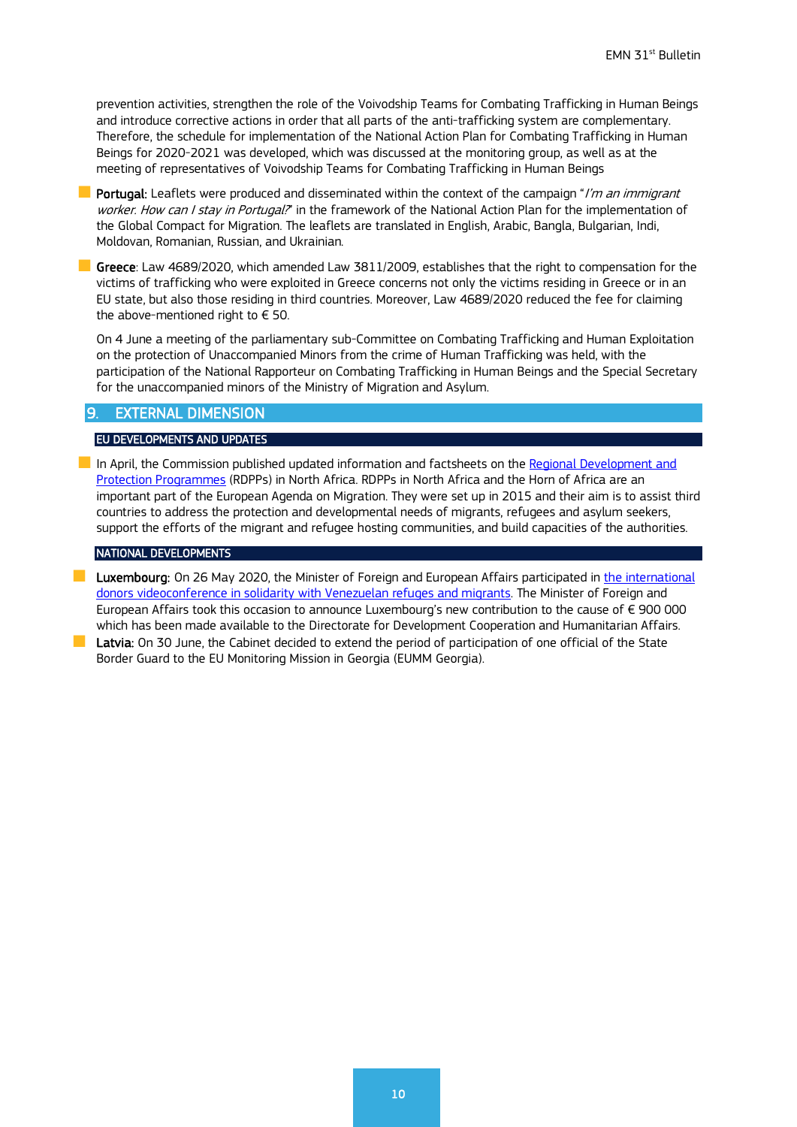prevention activities, strengthen the role of the Voivodship Teams for Combating Trafficking in Human Beings and introduce corrective actions in order that all parts of the anti-trafficking system are complementary. Therefore, the schedule for implementation of the National Action Plan for Combating Trafficking in Human Beings for 2020-2021 was developed, which was discussed at the monitoring group, as well as at the meeting of representatives of Voivodship Teams for Combating Trafficking in Human Beings

**Portugal:** Leaflets were produced and disseminated within the context of the campaign "I'm an immigrant" worker. How can I stay in Portugal?" in the framework of the National Action Plan for the implementation of the Global Compact for Migration. The leaflets are translated in English, Arabic, Bangla, Bulgarian, Indi, Moldovan, Romanian, Russian, and Ukrainian.

Greece: Law 4689/2020, which amended Law 3811/2009, establishes that the right to compensation for the victims of trafficking who were exploited in Greece concerns not only the victims residing in Greece or in an EU state, but also those residing in third countries. Moreover, Law 4689/2020 reduced the fee for claiming the above-mentioned right to  $\in$  50.

On 4 June a meeting of the parliamentary sub-Committee on Combating Trafficking and Human Exploitation on the protection of Unaccompanied Minors from the crime of Human Trafficking was held, with the participation of the National Rapporteur on Combating Trafficking in Human Beings and the Special Secretary for the unaccompanied minors of the Ministry of Migration and Asylum.

## <span id="page-9-0"></span>9. EXTERNAL DIMENSION

#### EU DEVELOPMENTS AND UPDATES

In April, the Commission published updated information and factsheets on the Regional Development and [Protection Programmes](https://ec.europa.eu/home-affairs/news/20200427_regional-development-protection-programmes-north-africa-projects-implementation_en) (RDPPs) in North Africa. RDPPs in North Africa and the Horn of Africa are an important part of the European Agenda on Migration. They were set up in 2015 and their aim is to assist third countries to address the protection and developmental needs of migrants, refugees and asylum seekers, support the efforts of the migrant and refugee hosting communities, and build capacities of the authorities.

#### NATIONAL DEVELOPMENTS

**Luxembourg:** On 26 May 2020, the Minister of Foreign and European Affairs participated in *the international* [donors videoconference in solidarity with Venezuelan refuges and migrants.](https://gouvernement.lu/fr/actualites/toutes_actualites/communiques/2020/05-mai/27-asselborn-conference.html) The Minister of Foreign and European Affairs took this occasion to announce Luxembourg's new contribution to the cause of € 900 000 which has been made [available](https://gouvernement.lu/fr/actualites/toutes_actualites/communiques/2020/05-mai/27-asselborn-conference.html) to the Directorate for Development Cooperation and Humanitarian Affairs. **Latvia:** On 30 June, the Cabinet decided to extend the period of participation of one official of the State

<span id="page-9-1"></span>Border Guard to the EU Monitoring Mission in Georgia (EUMM Georgia).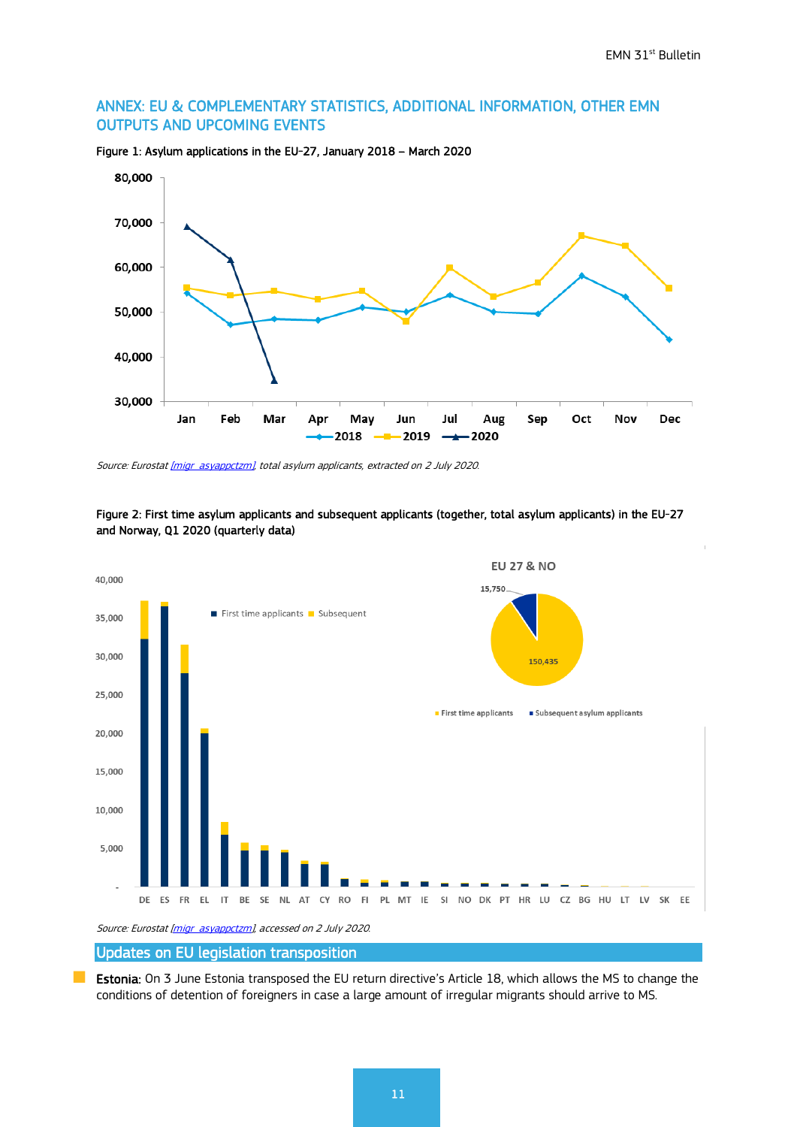$\begin{array}{c} \hline \end{array}$ 

## ANNEX: EU & COMPLEMENTARY STATISTICS, ADDITIONAL INFORMATION, OTHER EMN OUTPUTS AND UPCOMING EVENTS



Figure 1: Asylum applications in the EU-27, January 2018 – March 2020

Source: Eurostat *[migr\_asyappctzm]*, total asylum applicants, extracted on 2 July 2020.



Figure 2: First time asylum applicants and subsequent applicants (together, total asylum applicants) in the EU-27 and Norway, Q1 2020 (quarterly data)

Source: Eurostat [\[migr\\_asyappctzm\],](http://appsso.eurostat.ec.europa.eu/nui/show.do?dataset=migr_asyappctzm&lang=en) accessed on 2 July 2020.

## Updates on EU legislation transposition

**Estonia:** On 3 June Estonia transposed the EU return directive's Article 18, which allows the MS to change the conditions of detention of foreigners in case a large amount of irregular migrants should arrive to MS.